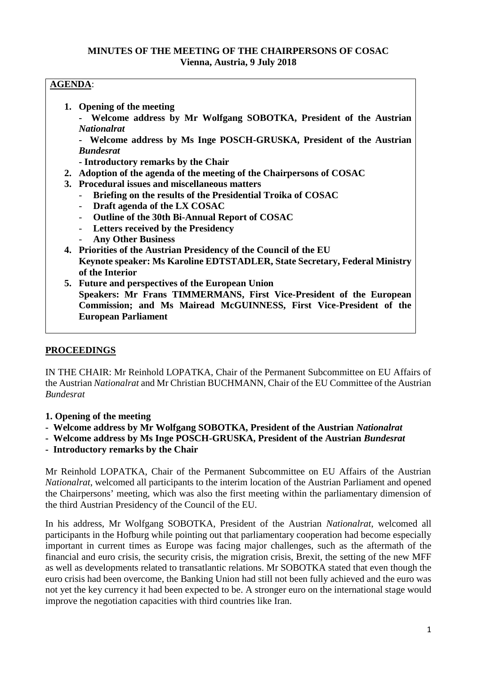## **MINUTES OF THE MEETING OF THE CHAIRPERSONS OF COSAC Vienna, Austria, 9 July 2018**

# **AGENDA**:

- **1. Opening of the meeting**
	- **- Welcome address by Mr Wolfgang SOBOTKA, President of the Austrian** *Nationalrat*

**- Welcome address by Ms Inge POSCH-GRUSKA, President of the Austrian** *Bundesrat*

- **- Introductory remarks by the Chair**
- **2. Adoption of the agenda of the meeting of the Chairpersons of COSAC**
- **3. Procedural issues and miscellaneous matters**
	- **Briefing on the results of the Presidential Troika of COSAC**
	- **Draft agenda of the LX COSAC**
	- **Outline of the 30th Bi-Annual Report of COSAC**
	- **Letters received by the Presidency**
	- **Any Other Business**
- **4. Priorities of the Austrian Presidency of the Council of the EU Keynote speaker: Ms Karoline EDTSTADLER, State Secretary, Federal Ministry of the Interior**
- **5. Future and perspectives of the European Union Speakers: Mr Frans TIMMERMANS, First Vice-President of the European Commission; and Ms Mairead McGUINNESS, First Vice-President of the European Parliament**

## **PROCEEDINGS**

IN THE CHAIR: Mr Reinhold LOPATKA, Chair of the Permanent Subcommittee on EU Affairs of the Austrian *Nationalrat* and Mr Christian BUCHMANN, Chair of the EU Committee of the Austrian *Bundesrat*

- **1. Opening of the meeting**
- **- Welcome address by Mr Wolfgang SOBOTKA, President of the Austrian** *Nationalrat*
- **- Welcome address by Ms Inge POSCH-GRUSKA, President of the Austrian** *Bundesrat*
- **- Introductory remarks by the Chair**

Mr Reinhold LOPATKA, Chair of the Permanent Subcommittee on EU Affairs of the Austrian *Nationalrat*, welcomed all participants to the interim location of the Austrian Parliament and opened the Chairpersons' meeting, which was also the first meeting within the parliamentary dimension of the third Austrian Presidency of the Council of the EU.

In his address, Mr Wolfgang SOBOTKA, President of the Austrian *Nationalrat*, welcomed all participants in the Hofburg while pointing out that parliamentary cooperation had become especially important in current times as Europe was facing major challenges, such as the aftermath of the financial and euro crisis, the security crisis, the migration crisis, Brexit, the setting of the new MFF as well as developments related to transatlantic relations. Mr SOBOTKA stated that even though the euro crisis had been overcome, the Banking Union had still not been fully achieved and the euro was not yet the key currency it had been expected to be. A stronger euro on the international stage would improve the negotiation capacities with third countries like Iran.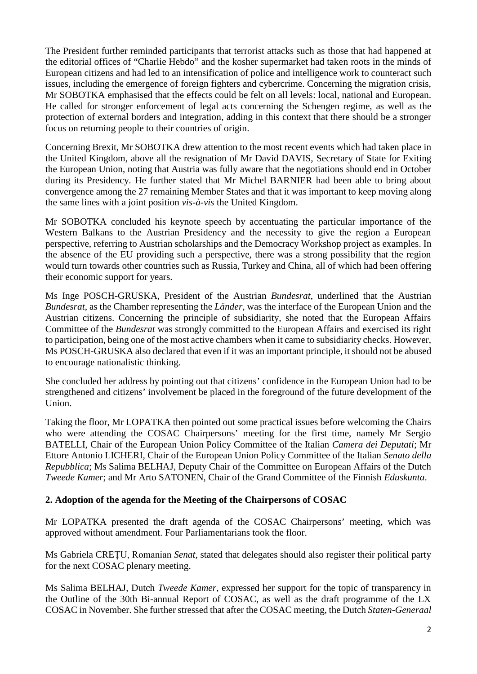The President further reminded participants that terrorist attacks such as those that had happened at the editorial offices of "Charlie Hebdo" and the kosher supermarket had taken roots in the minds of European citizens and had led to an intensification of police and intelligence work to counteract such issues, including the emergence of foreign fighters and cybercrime. Concerning the migration crisis, Mr SOBOTKA emphasised that the effects could be felt on all levels: local, national and European. He called for stronger enforcement of legal acts concerning the Schengen regime, as well as the protection of external borders and integration, adding in this context that there should be a stronger focus on returning people to their countries of origin.

Concerning Brexit, Mr SOBOTKA drew attention to the most recent events which had taken place in the United Kingdom, above all the resignation of Mr David DAVIS, Secretary of State for Exiting the European Union, noting that Austria was fully aware that the negotiations should end in October during its Presidency. He further stated that Mr Michel BARNIER had been able to bring about convergence among the 27 remaining Member States and that it was important to keep moving along the same lines with a joint position *vis-à-vis* the United Kingdom.

Mr SOBOTKA concluded his keynote speech by accentuating the particular importance of the Western Balkans to the Austrian Presidency and the necessity to give the region a European perspective, referring to Austrian scholarships and the Democracy Workshop project as examples. In the absence of the EU providing such a perspective, there was a strong possibility that the region would turn towards other countries such as Russia, Turkey and China, all of which had been offering their economic support for years.

Ms Inge POSCH-GRUSKA, President of the Austrian *Bundesrat*, underlined that the Austrian *Bundesrat*, as the Chamber representing the *Länder*, was the interface of the European Union and the Austrian citizens. Concerning the principle of subsidiarity, she noted that the European Affairs Committee of the *Bundesrat* was strongly committed to the European Affairs and exercised its right to participation, being one of the most active chambers when it came to subsidiarity checks. However, Ms POSCH-GRUSKA also declared that even if it was an important principle, it should not be abused to encourage nationalistic thinking.

She concluded her address by pointing out that citizens' confidence in the European Union had to be strengthened and citizens' involvement be placed in the foreground of the future development of the Union.

Taking the floor, Mr LOPATKA then pointed out some practical issues before welcoming the Chairs who were attending the COSAC Chairpersons' meeting for the first time, namely Mr Sergio BATELLI, Chair of the European Union Policy Committee of the Italian *Camera dei Deputati*; Mr Ettore Antonio LICHERI, Chair of the European Union Policy Committee of the Italian *Senato della Repubblica*; Ms Salima BELHAJ, Deputy Chair of the Committee on European Affairs of the Dutch *Tweede Kamer*; and Mr Arto SATONEN, Chair of the Grand Committee of the Finnish *Eduskunta*.

## **2. Adoption of the agenda for the Meeting of the Chairpersons of COSAC**

Mr LOPATKA presented the draft agenda of the COSAC Chairpersons' meeting, which was approved without amendment. Four Parliamentarians took the floor.

Ms Gabriela CREȚU, Romanian *Senat*, stated that delegates should also register their political party for the next COSAC plenary meeting.

Ms Salima BELHAJ, Dutch *Tweede Kamer*, expressed her support for the topic of transparency in the Outline of the 30th Bi-annual Report of COSAC, as well as the draft programme of the LX COSAC in November. She further stressed that after the COSAC meeting, the Dutch *Staten-Generaal*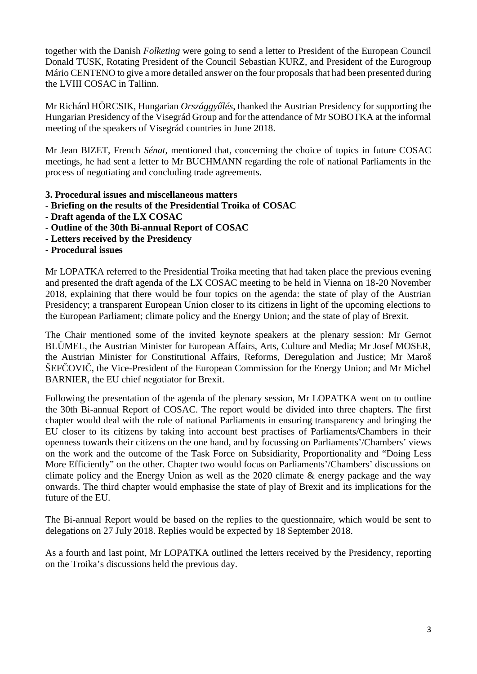together with the Danish *Folketing* were going to send a letter to President of the European Council Donald TUSK, Rotating President of the Council Sebastian KURZ, and President of the Eurogroup Mário CENTENO to give a more detailed answer on the four proposals that had been presented during the LVIII COSAC in Tallinn.

Mr Richárd HÖRCSIK, Hungarian *Országgy lés*, thanked the Austrian Presidency for supporting the Hungarian Presidency of the Visegrád Group and for the attendance of Mr SOBOTKA at the informal meeting of the speakers of Visegrád countries in June 2018.

Mr Jean BIZET, French *Sénat*, mentioned that, concerning the choice of topics in future COSAC meetings, he had sent a letter to Mr BUCHMANN regarding the role of national Parliaments in the process of negotiating and concluding trade agreements.

- **3. Procedural issues and miscellaneous matters**
- **- Briefing on the results of the Presidential Troika of COSAC**
- **- Draft agenda of the LX COSAC**
- **- Outline of the 30th Bi-annual Report of COSAC**
- **- Letters received by the Presidency**
- **- Procedural issues**

Mr LOPATKA referred to the Presidential Troika meeting that had taken place the previous evening and presented the draft agenda of the LX COSAC meeting to be held in Vienna on 18-20 November 2018, explaining that there would be four topics on the agenda: the state of play of the Austrian Presidency; a transparent European Union closer to its citizens in light of the upcoming elections to the European Parliament; climate policy and the Energy Union; and the state of play of Brexit.

The Chair mentioned some of the invited keynote speakers at the plenary session: Mr Gernot BLÜMEL, the Austrian Minister for European Affairs, Arts, Culture and Media; Mr Josef MOSER, the Austrian Minister for Constitutional Affairs, Reforms, Deregulation and Justice; Mr Maroš  $\text{SEF}$   $\text{OVI}$ , the Vice-President of the European Commission for the Energy Union; and Mr Michel BARNIER, the EU chief negotiator for Brexit.

Following the presentation of the agenda of the plenary session, Mr LOPATKA went on to outline the 30th Bi-annual Report of COSAC. The report would be divided into three chapters. The first chapter would deal with the role of national Parliaments in ensuring transparency and bringing the EU closer to its citizens by taking into account best practises of Parliaments/Chambers in their openness towards their citizens on the one hand, and by focussing on Parliaments'/Chambers' views on the work and the outcome of the Task Force on Subsidiarity, Proportionality and "Doing Less More Efficiently" on the other. Chapter two would focus on Parliaments'/Chambers' discussions on climate policy and the Energy Union as well as the 2020 climate & energy package and the way onwards. The third chapter would emphasise the state of play of Brexit and its implications for the future of the EU.

The Bi-annual Report would be based on the replies to the questionnaire, which would be sent to delegations on 27 July 2018. Replies would be expected by 18 September 2018.

As a fourth and last point, Mr LOPATKA outlined the letters received by the Presidency, reporting on the Troika's discussions held the previous day.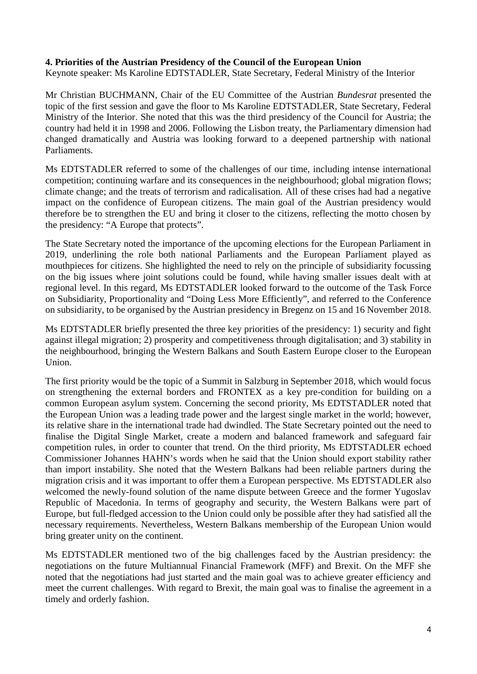### **4. Priorities of the Austrian Presidency of the Council of the European Union**

Keynote speaker: Ms Karoline EDTSTADLER, State Secretary, Federal Ministry of the Interior

Mr Christian BUCHMANN, Chair of the EU Committee of the Austrian *Bundesrat* presented the topic of the first session and gave the floor to Ms Karoline EDTSTADLER, State Secretary, Federal Ministry of the Interior. She noted that this was the third presidency of the Council for Austria; the country had held it in 1998 and 2006. Following the Lisbon treaty, the Parliamentary dimension had changed dramatically and Austria was looking forward to a deepened partnership with national Parliaments.

Ms EDTSTADLER referred to some of the challenges of our time, including intense international competition; continuing warfare and its consequences in the neighbourhood; global migration flows; climate change; and the treats of terrorism and radicalisation. All of these crises had had a negative impact on the confidence of European citizens. The main goal of the Austrian presidency would therefore be to strengthen the EU and bring it closer to the citizens, reflecting the motto chosen by the presidency: "A Europe that protects".

The State Secretary noted the importance of the upcoming elections for the European Parliament in 2019, underlining the role both national Parliaments and the European Parliament played as mouthpieces for citizens. She highlighted the need to rely on the principle of subsidiarity focussing on the big issues where joint solutions could be found, while having smaller issues dealt with at regional level. In this regard, Ms EDTSTADLER looked forward to the outcome of the Task Force on Subsidiarity, Proportionality and "Doing Less More Efficiently", and referred to the Conference on subsidiarity, to be organised by the Austrian presidency in Bregenz on 15 and 16 November 2018.

Ms EDTSTADLER briefly presented the three key priorities of the presidency: 1) security and fight against illegal migration; 2) prosperity and competitiveness through digitalisation; and 3) stability in the neighbourhood, bringing the Western Balkans and South Eastern Europe closer to the European Union.

The first priority would be the topic of a Summit in Salzburg in September 2018, which would focus on strengthening the external borders and FRONTEX as a key pre-condition for building on a common European asylum system. Concerning the second priority, Ms EDTSTADLER noted that the European Union was a leading trade power and the largest single market in the world; however, its relative share in the international trade had dwindled. The State Secretary pointed out the need to finalise the Digital Single Market, create a modern and balanced framework and safeguard fair competition rules, in order to counter that trend. On the third priority, Ms EDTSTADLER echoed Commissioner Johannes HAHN's words when he said that the Union should export stability rather than import instability. She noted that the Western Balkans had been reliable partners during the migration crisis and it was important to offer them a European perspective. Ms EDTSTADLER also welcomed the newly-found solution of the name dispute between Greece and the former Yugoslav Republic of Macedonia. In terms of geography and security, the Western Balkans were part of Europe, but full-fledged accession to the Union could only be possible after they had satisfied all the necessary requirements. Nevertheless, Western Balkans membership of the European Union would bring greater unity on the continent.

Ms EDTSTADLER mentioned two of the big challenges faced by the Austrian presidency: the negotiations on the future Multiannual Financial Framework (MFF) and Brexit. On the MFF she noted that the negotiations had just started and the main goal was to achieve greater efficiency and meet the current challenges. With regard to Brexit, the main goal was to finalise the agreement in a timely and orderly fashion.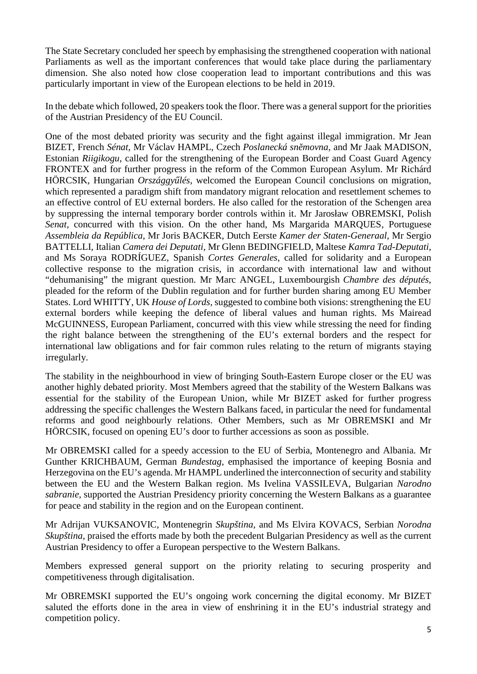The State Secretary concluded her speech by emphasising the strengthened cooperation with national Parliaments as well as the important conferences that would take place during the parliamentary dimension. She also noted how close cooperation lead to important contributions and this was particularly important in view of the European elections to be held in 2019.

In the debate which followed, 20 speakers took the floor. There was a general support for the priorities of the Austrian Presidency of the EU Council.

One of the most debated priority was security and the fight against illegal immigration. Mr Jean BIZET, French *Sénat*, Mr Václav HAMPL, Czech *Poslanecká sn movna*, and Mr Jaak MADISON, Estonian *Riigikogu*, called for the strengthening of the European Border and Coast Guard Agency FRONTEX and for further progress in the reform of the Common European Asylum. Mr Richárd HÖRCSIK, Hungarian *Országgy lés*, welcomed the European Council conclusions on migration, which represented a paradigm shift from mandatory migrant relocation and resettlement schemes to an effective control of EU external borders. He also called for the restoration of the Schengen area by suppressing the internal temporary border controls within it. Mr Jarosław OBREMSKI, Polish *Senat,* concurred with this vision. On the other hand, Ms Margarida MARQUES, Portuguese *Assembleia da República*, Mr Joris BACKER, Dutch Eerste *Kamer der Staten-Generaal*, Mr Sergio BATTELLI, Italian *Camera dei Deputati*, Mr Glenn BEDINGFIELD, Maltese *Kamra Tad-Deputati*, and Ms Soraya RODRÍGUEZ, Spanish *Cortes Generales*, called for solidarity and a European collective response to the migration crisis, in accordance with international law and without "dehumanising" the migrant question. Mr Marc ANGEL, Luxembourgish *Chambre des députés*, pleaded for the reform of the Dublin regulation and for further burden sharing among EU Member States. Lord WHITTY, UK *House of Lords*, suggested to combine both visions: strengthening the EU external borders while keeping the defence of liberal values and human rights. Ms Mairead McGUINNESS, European Parliament, concurred with this view while stressing the need for finding the right balance between the strengthening of the EU's external borders and the respect for international law obligations and for fair common rules relating to the return of migrants staying irregularly.

The stability in the neighbourhood in view of bringing South-Eastern Europe closer or the EU was another highly debated priority. Most Members agreed that the stability of the Western Balkans was essential for the stability of the European Union, while Mr BIZET asked for further progress addressing the specific challenges the Western Balkans faced, in particular the need for fundamental reforms and good neighbourly relations. Other Members, such as Mr OBREMSKI and Mr HÖRCSIK, focused on opening EU's door to further accessions as soon as possible.

Mr OBREMSKI called for a speedy accession to the EU of Serbia, Montenegro and Albania. Mr Gunther KRICHBAUM, German *Bundestag,* emphasised the importance of keeping Bosnia and Herzegovina on the EU's agenda. Mr HAMPL underlined the interconnection of security and stability between the EU and the Western Balkan region. Ms Ivelina VASSILEVA, Bulgarian *Narodno sabranie,* supported the Austrian Presidency priority concerning the Western Balkans as a guarantee for peace and stability in the region and on the European continent.

Mr Adrijan VUKSANOVIC, Montenegrin *Skupština*, and Ms Elvira KOVACS, Serbian *Norodna Skupština*, praised the efforts made by both the precedent Bulgarian Presidency as well as the current Austrian Presidency to offer a European perspective to the Western Balkans.

Members expressed general support on the priority relating to securing prosperity and competitiveness through digitalisation.

Mr OBREMSKI supported the EU's ongoing work concerning the digital economy. Mr BIZET saluted the efforts done in the area in view of enshrining it in the EU's industrial strategy and competition policy.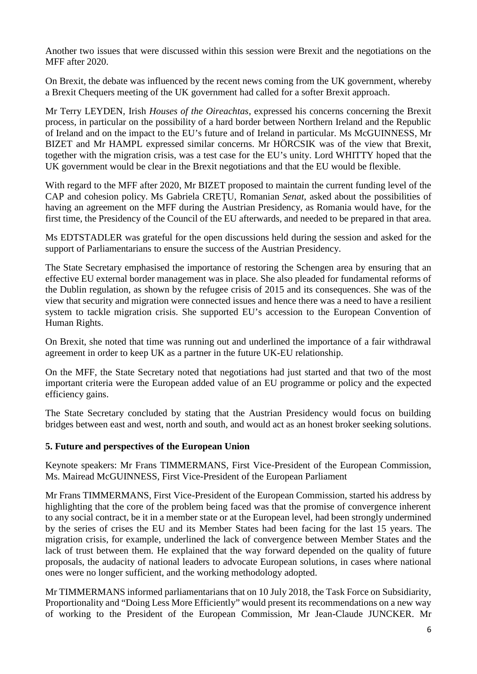Another two issues that were discussed within this session were Brexit and the negotiations on the MFF after 2020.

On Brexit, the debate was influenced by the recent news coming from the UK government, whereby a Brexit Chequers meeting of the UK government had called for a softer Brexit approach.

Mr Terry LEYDEN, Irish *Houses of the Oireachtas*, expressed his concerns concerning the Brexit process, in particular on the possibility of a hard border between Northern Ireland and the Republic of Ireland and on the impact to the EU's future and of Ireland in particular. Ms McGUINNESS, Mr BIZET and Mr HAMPL expressed similar concerns. Mr HÖRCSIK was of the view that Brexit, together with the migration crisis, was a test case for the EU's unity. Lord WHITTY hoped that the UK government would be clear in the Brexit negotiations and that the EU would be flexible.

With regard to the MFF after 2020, Mr BIZET proposed to maintain the current funding level of the CAP and cohesion policy. Ms Gabriela CREȚU, Romanian *Senat*, asked about the possibilities of having an agreement on the MFF during the Austrian Presidency, as Romania would have, for the first time, the Presidency of the Council of the EU afterwards, and needed to be prepared in that area.

Ms EDTSTADLER was grateful for the open discussions held during the session and asked for the support of Parliamentarians to ensure the success of the Austrian Presidency.

The State Secretary emphasised the importance of restoring the Schengen area by ensuring that an effective EU external border management was in place. She also pleaded for fundamental reforms of the Dublin regulation, as shown by the refugee crisis of 2015 and its consequences. She was of the view that security and migration were connected issues and hence there was a need to have a resilient system to tackle migration crisis. She supported EU's accession to the European Convention of Human Rights.

On Brexit, she noted that time was running out and underlined the importance of a fair withdrawal agreement in order to keep UK as a partner in the future UK-EU relationship.

On the MFF, the State Secretary noted that negotiations had just started and that two of the most important criteria were the European added value of an EU programme or policy and the expected efficiency gains.

The State Secretary concluded by stating that the Austrian Presidency would focus on building bridges between east and west, north and south, and would act as an honest broker seeking solutions.

## **5. Future and perspectives of the European Union**

Keynote speakers: Mr Frans TIMMERMANS, First Vice-President of the European Commission, Ms. Mairead McGUINNESS, First Vice-President of the European Parliament

Mr Frans TIMMERMANS, First Vice-President of the European Commission, started his address by highlighting that the core of the problem being faced was that the promise of convergence inherent to any social contract, be it in a member state or at the European level, had been strongly undermined by the series of crises the EU and its Member States had been facing for the last 15 years. The migration crisis, for example, underlined the lack of convergence between Member States and the lack of trust between them. He explained that the way forward depended on the quality of future proposals, the audacity of national leaders to advocate European solutions, in cases where national ones were no longer sufficient, and the working methodology adopted.

Mr TIMMERMANS informed parliamentarians that on 10 July 2018, the Task Force on Subsidiarity, Proportionality and "Doing Less More Efficiently" would present its recommendations on a new way of working to the President of the European Commission, Mr Jean-Claude JUNCKER. Mr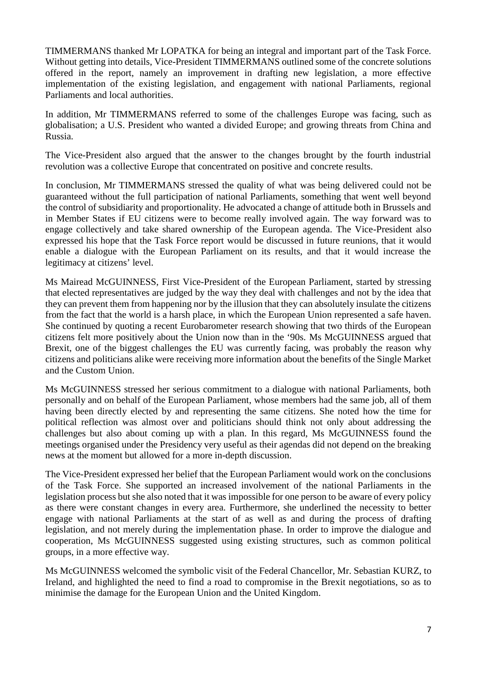TIMMERMANS thanked Mr LOPATKA for being an integral and important part of the Task Force. Without getting into details, Vice-President TIMMERMANS outlined some of the concrete solutions offered in the report, namely an improvement in drafting new legislation, a more effective implementation of the existing legislation, and engagement with national Parliaments, regional Parliaments and local authorities.

In addition, Mr TIMMERMANS referred to some of the challenges Europe was facing, such as globalisation; a U.S. President who wanted a divided Europe; and growing threats from China and Russia.

The Vice-President also argued that the answer to the changes brought by the fourth industrial revolution was a collective Europe that concentrated on positive and concrete results.

In conclusion, Mr TIMMERMANS stressed the quality of what was being delivered could not be guaranteed without the full participation of national Parliaments, something that went well beyond the control of subsidiarity and proportionality. He advocated a change of attitude both in Brussels and in Member States if EU citizens were to become really involved again. The way forward was to engage collectively and take shared ownership of the European agenda. The Vice-President also expressed his hope that the Task Force report would be discussed in future reunions, that it would enable a dialogue with the European Parliament on its results, and that it would increase the legitimacy at citizens' level.

Ms Mairead McGUINNESS, First Vice-President of the European Parliament, started by stressing that elected representatives are judged by the way they deal with challenges and not by the idea that they can prevent them from happening nor by the illusion that they can absolutely insulate the citizens from the fact that the world is a harsh place, in which the European Union represented a safe haven. She continued by quoting a recent Eurobarometer research showing that two thirds of the European citizens felt more positively about the Union now than in the '90s. Ms McGUINNESS argued that Brexit, one of the biggest challenges the EU was currently facing, was probably the reason why citizens and politicians alike were receiving more information about the benefits of the Single Market and the Custom Union.

Ms McGUINNESS stressed her serious commitment to a dialogue with national Parliaments, both personally and on behalf of the European Parliament, whose members had the same job, all of them having been directly elected by and representing the same citizens. She noted how the time for political reflection was almost over and politicians should think not only about addressing the challenges but also about coming up with a plan. In this regard, Ms McGUINNESS found the meetings organised under the Presidency very useful as their agendas did not depend on the breaking news at the moment but allowed for a more in-depth discussion.

The Vice-President expressed her belief that the European Parliament would work on the conclusions of the Task Force. She supported an increased involvement of the national Parliaments in the legislation process but she also noted that it was impossible for one person to be aware of every policy as there were constant changes in every area. Furthermore, she underlined the necessity to better engage with national Parliaments at the start of as well as and during the process of drafting legislation, and not merely during the implementation phase. In order to improve the dialogue and cooperation, Ms McGUINNESS suggested using existing structures, such as common political groups, in a more effective way.

Ms McGUINNESS welcomed the symbolic visit of the Federal Chancellor, Mr. Sebastian KURZ, to Ireland, and highlighted the need to find a road to compromise in the Brexit negotiations, so as to minimise the damage for the European Union and the United Kingdom.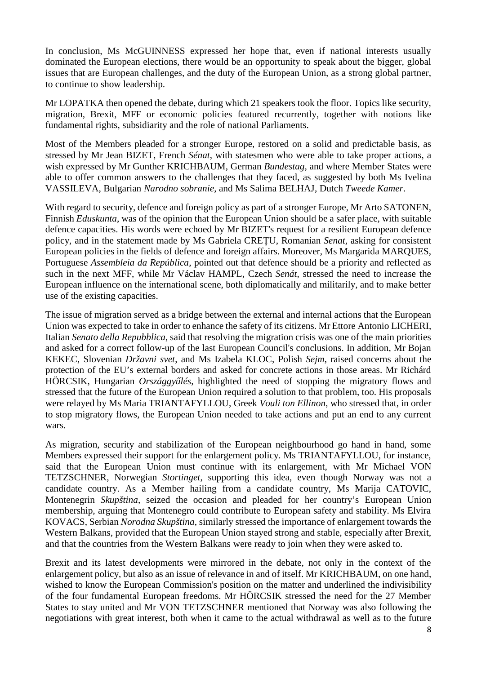In conclusion, Ms McGUINNESS expressed her hope that, even if national interests usually dominated the European elections, there would be an opportunity to speak about the bigger, global issues that are European challenges, and the duty of the European Union, as a strong global partner, to continue to show leadership.

Mr LOPATKA then opened the debate, during which 21 speakers took the floor. Topics like security, migration, Brexit, MFF or economic policies featured recurrently, together with notions like fundamental rights, subsidiarity and the role of national Parliaments.

Most of the Members pleaded for a stronger Europe, restored on a solid and predictable basis, as stressed by Mr Jean BIZET, French *Sénat*, with statesmen who were able to take proper actions, a wish expressed by Mr Gunther KRICHBAUM, German *Bundestag*, and where Member States were able to offer common answers to the challenges that they faced, as suggested by both Ms Ivelina VASSILEVA, Bulgarian *Narodno sobranie*, and Ms Salima BELHAJ, Dutch *Tweede Kamer*.

With regard to security, defence and foreign policy as part of a stronger Europe, Mr Arto SATONEN, Finnish *Eduskunta*, was of the opinion that the European Union should be a safer place, with suitable defence capacities. His words were echoed by Mr BIZET's request for a resilient European defence policy, and in the statement made by Ms Gabriela CREȚU, Romanian *Senat*, asking for consistent European policies in the fields of defence and foreign affairs. Moreover, Ms Margarida MARQUES, Portuguese *Assembleia da República*, pointed out that defence should be a priority and reflected as such in the next MFF, while Mr Václav HAMPL, Czech *Senát*, stressed the need to increase the European influence on the international scene, both diplomatically and militarily, and to make better use of the existing capacities.

The issue of migration served as a bridge between the external and internal actions that the European Union was expected to take in order to enhance the safety of its citizens. Mr Ettore Antonio LICHERI, Italian *Senato della Repubblica*, said that resolving the migration crisis was one of the main priorities and asked for a correct follow-up of the last European Council's conclusions. In addition, Mr Bojan KEKEC, Slovenian *Državni svet*, and Ms Izabela KLOC, Polish *Sejm*, raised concerns about the protection of the EU's external borders and asked for concrete actions in those areas. Mr Richárd HÖRCSIK, Hungarian *Országgy lés*, highlighted the need of stopping the migratory flows and stressed that the future of the European Union required a solution to that problem, too. His proposals were relayed by Ms Maria TRIANTAFYLLOU, Greek *Vouli ton Ellinon*, who stressed that, in order to stop migratory flows, the European Union needed to take actions and put an end to any current wars.

As migration, security and stabilization of the European neighbourhood go hand in hand, some Members expressed their support for the enlargement policy. Ms TRIANTAFYLLOU, for instance, said that the European Union must continue with its enlargement, with Mr Michael VON TETZSCHNER, Norwegian *Stortinget*, supporting this idea, even though Norway was not a candidate country. As a Member hailing from a candidate country, Ms Marija CATOVIC, Montenegrin *Skupština*, seized the occasion and pleaded for her country's European Union membership, arguing that Montenegro could contribute to European safety and stability. Ms Elvira KOVACS, Serbian *Norodna Skupština*, similarly stressed the importance of enlargement towards the Western Balkans, provided that the European Union stayed strong and stable, especially after Brexit, and that the countries from the Western Balkans were ready to join when they were asked to.

Brexit and its latest developments were mirrored in the debate, not only in the context of the enlargement policy, but also as an issue of relevance in and of itself. Mr KRICHBAUM, on one hand, wished to know the European Commission's position on the matter and underlined the indivisibility of the four fundamental European freedoms. Mr HÖRCSIK stressed the need for the 27 Member States to stay united and Mr VON TETZSCHNER mentioned that Norway was also following the negotiations with great interest, both when it came to the actual withdrawal as well as to the future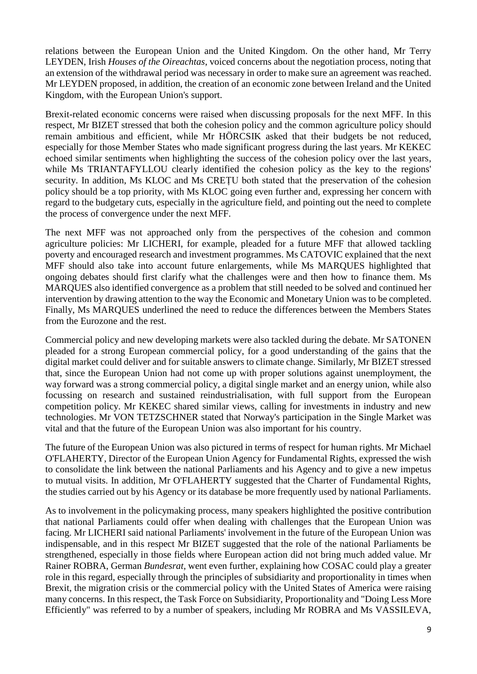relations between the European Union and the United Kingdom. On the other hand, Mr Terry LEYDEN, Irish *Houses of the Oireachtas*, voiced concerns about the negotiation process, noting that an extension of the withdrawal period was necessary in order to make sure an agreement was reached. Mr LEYDEN proposed, in addition, the creation of an economic zone between Ireland and the United Kingdom, with the European Union's support.

Brexit-related economic concerns were raised when discussing proposals for the next MFF. In this respect, Mr BIZET stressed that both the cohesion policy and the common agriculture policy should remain ambitious and efficient, while Mr HÖRCSIK asked that their budgets be not reduced, especially for those Member States who made significant progress during the last years. Mr KEKEC echoed similar sentiments when highlighting the success of the cohesion policy over the last years, while Ms TRIANTAFYLLOU clearly identified the cohesion policy as the key to the regions' security. In addition, Ms KLOC and Ms CREȚU both stated that the preservation of the cohesion policy should be a top priority, with Ms KLOC going even further and, expressing her concern with regard to the budgetary cuts, especially in the agriculture field, and pointing out the need to complete the process of convergence under the next MFF.

The next MFF was not approached only from the perspectives of the cohesion and common agriculture policies: Mr LICHERI, for example, pleaded for a future MFF that allowed tackling poverty and encouraged research and investment programmes. Ms CATOVIC explained that the next MFF should also take into account future enlargements, while Ms MARQUES highlighted that ongoing debates should first clarify what the challenges were and then how to finance them. Ms MARQUES also identified convergence as a problem that still needed to be solved and continued her intervention by drawing attention to the way the Economic and Monetary Union was to be completed. Finally, Ms MARQUES underlined the need to reduce the differences between the Members States from the Eurozone and the rest.

Commercial policy and new developing markets were also tackled during the debate. Mr SATONEN pleaded for a strong European commercial policy, for a good understanding of the gains that the digital market could deliver and for suitable answers to climate change. Similarly, Mr BIZET stressed that, since the European Union had not come up with proper solutions against unemployment, the way forward was a strong commercial policy, a digital single market and an energy union, while also focussing on research and sustained reindustrialisation, with full support from the European competition policy. Mr KEKEC shared similar views, calling for investments in industry and new technologies. Mr VON TETZSCHNER stated that Norway's participation in the Single Market was vital and that the future of the European Union was also important for his country.

The future of the European Union was also pictured in terms of respect for human rights. Mr Michael O'FLAHERTY, Director of the European Union Agency for Fundamental Rights, expressed the wish to consolidate the link between the national Parliaments and his Agency and to give a new impetus to mutual visits. In addition, Mr O'FLAHERTY suggested that the Charter of Fundamental Rights, the studies carried out by his Agency or its database be more frequently used by national Parliaments.

As to involvement in the policymaking process, many speakers highlighted the positive contribution that national Parliaments could offer when dealing with challenges that the European Union was facing. Mr LICHERI said national Parliaments' involvement in the future of the European Union was indispensable, and in this respect Mr BIZET suggested that the role of the national Parliaments be strengthened, especially in those fields where European action did not bring much added value. Mr Rainer ROBRA, German *Bundesrat*, went even further, explaining how COSAC could play a greater role in this regard, especially through the principles of subsidiarity and proportionality in times when Brexit, the migration crisis or the commercial policy with the United States of America were raising many concerns. In this respect, the Task Force on Subsidiarity, Proportionality and "Doing Less More Efficiently" was referred to by a number of speakers, including Mr ROBRA and Ms VASSILEVA,